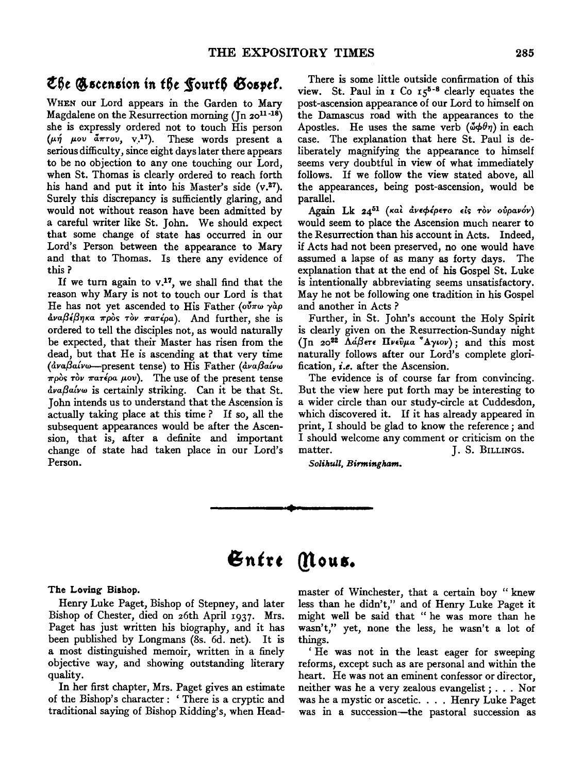## *t6t* **(i&etn&ion in** *t6t* :fout'f~ **cB'o&,tf.**

WHEN our Lord appears in the Garden to Mary Magdalene on the Resurrection morning  $(In 20^{11-18})$ she is expressly ordered not to touch His person  $(\mu \acute{\eta} \mu o \nu \acute{a} \pi \tau o \nu, v.^{17})$ . These words present a serious difficulty, since eight days later there appears to be no objection to any one touching our Lord, when St. Thomas is clearly ordered to reach forth his hand and put it into his Master's side  $(v.^{27})$ . Surely this discrepancy is sufficiently glaring, and would not without reason have been admitted by a careful writer like St. John. We should expect that some change of state has occurred in our Lord's Person between the appearance to Mary and that to Thomas. Is there any evidence of this?

If we turn again to  $v<sup>17</sup>$ , we shall find that the reason why Mary is not to touch our Lord is that He has not yet ascended to His Father ( $\omega^{\nu}$ *i*w  $\gamma$ *a* $\rho$ *ava{3l{3T}Ka 7rp0<;; TOY 1!"aTtpa).* And further, she is ordered to tell the disciples not, as would naturally be expected, that their Master has risen from the dead, but that He is ascending at that very time *(&.va{3alvw--present* tense) to His Father *(ava{3alvw*   $\pi \rho$ os  $\tau \gamma \nu \pi a \tau \epsilon \rho a \mu \nu$ . The use of the present tense *&.vaf3alvw* is certainly striking. Can it be that St. John intends us to understand that the Ascension is actually taking place at this time? If so, all the subsequent appearances would be after the Ascension, that is, after a definite and important change of state had taken place in our Lord's Person.

There is some little outside confirmation of this view. St. Paul in  $I$  Co  $I5^{5-8}$  clearly equates the post-ascension appearance of our Lord to himself on the Damascus road with the appearances to the Apostles. He uses the same verb  $(\tilde{\omega}\phi \theta \eta)$  in each case. The explanation that here St. Paul is deliberately magnifying the appearance to himself seems very doubtful in view of what immediately follows. If we follow the view stated above, all the appearances, being post-ascension, would be parallel.

Again Lk 24<sup>51</sup> (και ανεφέρετο είς τον ούρανόν) would seem to place the Ascension much nearer to the Resurrection than his account in Acts. Indeed, if Acts had not been preserved, no one would have assumed a lapse of as many as forty days. The explanation that at the end of his Gospel St. Luke is intentionally abbreviating seems unsatisfactory. May he not be following one tradition in his Gospel and another in Acts ?

Further, in St. John's account the Holy Spirit is clearly given on the Resurrection-Sunday night (Jn 20<sup>22</sup> Λάβετε Πνεύμα<sup>°</sup> Αγιον); and this most naturally follows after our Lord's complete glorification, *i.e.* after the Ascension.

The evidence is of course far from convincing. But the view here put forth may be interesting to a wider circle than our study-circle at Cuddesdon, which discovered it. If it has already appeared in print, I should be glad to know the reference ; and I should welcome any comment or criticism on the matter. **I. S. BILLINGS.** 

*Solihull, Birmingham.* 

# $\mathfrak{G}$ ntre *(flous.*

#### The Loving Bishop.

Henry Luke Paget, Bishop of Stepney, and later Bishop of Chester, died on 26th April 1937. Mrs. Paget has just written his biography, and it has been published by Longmans (8s. 6d. net). It is a most distinguished memoir, written in a finely objective way, and showing outstanding literary quality.

In her first chapter, Mrs. Paget gives an estimate of the Bishop's character: 'There is a cryptic and traditional saying of Bishop Ridding's, when Headmaster of Winchester, that a certain boy "knew less than he didn't," and of Henry Luke Paget it might well be said that " he was more than he wasn't," yet, none the less, he wasn't a lot of things.

' He was not in the least eager for sweeping reforms, except such as are personal and within the heart. He was not an eminent confessor or director, neither was he a very zealous evangelist ; . . . Nor was he a mystic or ascetic. . . . Henry Luke Paget was in a succession-the pastoral succession as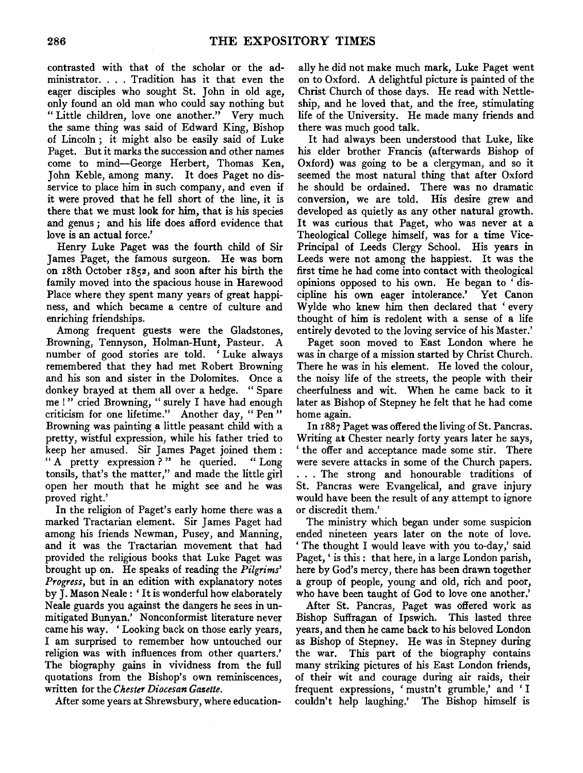contrasted with that of the scholar or the administrator. . . . Tradition has it that even the eager disciples who sought St. John in old age, only found an old man who could say nothing but "Little children, love one another." Very much the same thing was said of Edward King, Bishop of Lincoln ; it might also be easily said of Luke Paget. But it marks the succession and other names come to mind-George Herbert, Thomas Ken, John Keble, among many. It does Paget no disservice to place him in such company, and even if it were proved that he fell short of the line, it is there that we must look for him, that is his species and genus ; and his life does afford evidence that love is an actual force.'

Henry Luke Paget was the fourth child of Sir James Paget, the famous surgeon. He was born on 18th October 1852, and soon after his birth the family moved into the spacious house in Harewood Place where they spent many years of great happiness, and which became a centre of culture and enriching friendships.

Among frequent guests were the Gladstones, Browning, Tennyson, Holman-Hunt, Pasteur. A number of good stories are told. ' Luke always remembered that they had met Robert Browning and his son and sister in the Dolomites. Once a donkey brayed at them all over a hedge. " Spare me ! " cried Browning, " surely I have had enough criticism for one lifetime." Another day, "Pen" Browning was painting a little peasant child with a pretty, wistful expression, while his father tried to keep her amused. Sir James Paget joined them: " A pretty expression ? " he queried. " Long tonsils, that's the matter," and made the little girl open her mouth that he might see and he was proved right.'

In the religion of Paget's early home there was a marked Tractarian element. Sir James Paget had among his friends Newman, Pusey, and Manning, and it was the Tractarian movement that had provided the religious books that Luke Paget was brought up on. He speaks of reading the *Pilgrims' Progress,* but in an edition with explanatory notes by J. Mason Neale : 'It is wonderful how elaborately Neale guards you against the dangers he sees in unmitigated Bunyan.' Nonconformist literature never came his way. 'Looking back on those early years, I am surprised to remember how untouched our religion was with influences from other quarters.' The biography gains in vividness from the full quotations from the Bishop's own reminiscences, written for the *Chester Diocesan Gazette.* 

After some years at Shrewsbury, where education-

ally he did not make much mark, Luke Paget went on to Oxford. A delightful picture is painted of the Christ Church of those days. He read with Nettleship, and he loved that, and the free, stimulating life of the University. He made many friends and there was much good talk.

It had always been understood that Luke, like his elder brother Francis (afterwards Bishop of Oxford) was going to be a clergyman, and so it seemed the most natural thing that after Oxford he should be ordained. There was no dramatic conversion, we are told. His desire grew and developed as quietly as any other natural growth. It was curious that Paget, who was never at a Theological College himself, was for a time Vice-Principal of Leeds Clergy School. His years in Leeds were not among the happiest. It was the first time he had come into contact with theological opinions opposed to his own. He began to ' discipline his own eager intolerance.' Yet Canon Wylde who knew him then declared that ' every thought of him is redolent with a sense of a life entirely devoted to the loving service of his Master.'

Paget soon moved to East London where he was in charge of a mission started by Christ Church. There he was in his element. He loved the colour, the noisy life of the streets, the people with their cheerfulness and wit. When he came back to it later as Bishop of Stepney he felt that he had come home again.

In 1887 Paget was offered the living of St. Pancras. Writing at Chester nearly forty years later he says, ' the offer and acceptance made some stir. There were severe attacks in some of the Church papers. . . . The strong and honourable traditions of St. Pancras were Evangelical, and grave injury would have been the result of any attempt to ignore or discredit them.'

The ministry which began under some suspicion ended nineteen years later on the note of love. 'The thought I would leave with you to-day,' said Paget, ' is this : that here, in a large London parish, here by God's mercy, there has been drawn together a group of people, young and old, rich and poor, who have been taught of God to love one another.'

Mter St. Pancras, Paget was offered work as Bishop Suffragan of Ipswich. This lasted three years, and then he came back to his beloved London as Bishop of Stepney. He was in Stepney during the war. This part of the biography contains many striking pictures of his East London friends, of their wit and courage during air raids, their frequent expressions, ' mustn't grumble,' and ' I couldn't help laughing.' The Bishop himself is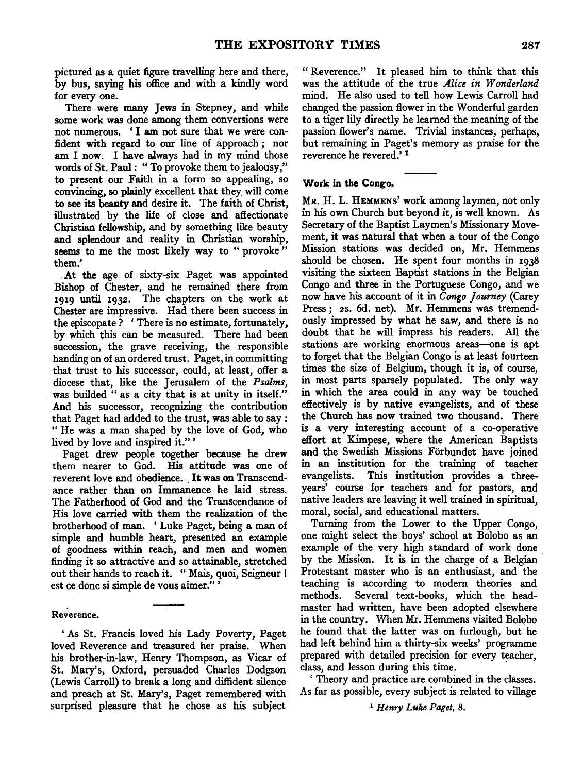pictured as a quiet figure travelling here and there, by bus, saying his office and with a kindly word for every one.

There were many Jews in Stepney, and while some work was done among them conversions were not numerous. 'I am not sure that we were confident with regard to our line of approach; nor am I now. I have always had in my mind those words of St. Paul: "To provoke them to jealousy," to present our Faith in a form so appealing, so convincing, so plainly excellent that they will come to see its beauty and desire it. The faith of Christ, illustrated by the life of close and affectionate Christian fellowship, and by something like beauty and splendour and reality in Christian worship, seems to me the most likely way to " provoke " them.'

At the age of sixty-six Paget was appointed Bishop of Chester, and he remained there from 1919 until 1932. The chapters on the work at Chester are impressive. Had there been success in the episcopate? 'There is no estimate, fortunately, by which this can be measured. There had been succession, the grave receiving, the responsible handing on of an ordered trust. Paget, in committing that trust to his successor, could, at least, offer a diocese that, like the Jerusalem of the *Psalms,*  was builded " as a city that is at unity in itself." And his successor, recognizing the contribution that Paget had added to the trust, was able to say : " He was a man shaped by the love of God, who lived by love and inspired it." '

Paget drew people together because he drew them nearer to God. His attitude was one of reverent love and obedience. It was on Transcendance rather than on Immanence he laid stress. The Fatherhood of God and the Transcendance of His love carried with them the realization of the brotherhood of man. 'Luke Paget, being a man of simple and humble heart, presented an example of goodness within reach, and men and women finding it so attractive and so attainable, stretched out their hands to reach it. " Mais, quoi, Seigneur ! est ce done si simple de vous aimer." '

#### Reverence.

' As St. Francis loved his Lady Poverty, Paget loved Reverence and treasured her praise. When his brother-in-law, Henry Thompson, as Vicar of St. Mary's, Oxford, persuaded Charles Dodgson (Lewis Carroll) to break a long and diffident silence and preach at St. Mary's, Paget remembered with surprised pleasure that he chose as his subject

· "Reverence." It pleased him to think that this was the attitude of the true *Alice in Wonderland*  mind. He also used to tell how Lewis Carroll had changed the passion flower in the Wonderful garden to a tiger lily directly he learned the meaning of the passion flower's name. Trivial instances, perhaps, but remaining in Paget's memory as praise for the reverence he revered.' <sup>1</sup>

#### Work in the Congo.

MR. H. L. HEMMENs' work among laymen, not only in his own Church but beyond it, is well known. As Secretary of the Baptist Laymen's Missionary Movement, it was natural that when a tour of the Congo Mission stations was decided on, Mr. Hemmens should be chosen. He spent four months in 1938 visiting the sixteen Baptist stations in the Belgian Congo and three in the Portuguese Congo, and we now have his account of it in *Congo Journey* (Carey Press; 2s. 6d. net). Mr. Hemmens was tremendously impressed by what he saw, and there is no doubt that he will impress his readers. All the stations are working enormous areas—one is apt to forget that the Belgian Congo is at least fourteen times the size of Belgium, though it is, of course, in most parts sparsely populated. The only way in which the area could in any way be touched effectively is by native evangelists, and of these the Church has now trained two thousand. There is a very interesting account of a co-operative effort at Kimpese, where the American Baptists and the Swedish Missions Förbundet have joined in an institution for the training of teacher evangelists. This institution provides a threeyears' course for teachers and for pastors, and native leaders are leaving it well trained in spiritual, moral, social, and educational matters.

Turning from the Lower to the Upper Congo, one might select the boys' school at Bolobo as an example of the very high standard of work done by the Mission. It is in the charge of a Belgian Protestant master who is an enthusiast, and the teaching is according to modem theories and methods. Several text-books, which the headmaster had written, have been adopted elsewhere in the country. When Mr. Hemmens visited Bolobo he found that the latter was on furlough, but he had left behind him a thirty-six weeks' programme prepared with detailed precision for every teacher, class, and lesson during this time.

' Theory and practice are combined in the classes. As far as possible, every subject is related to village

1 *Henry Luke Paget,* 8.